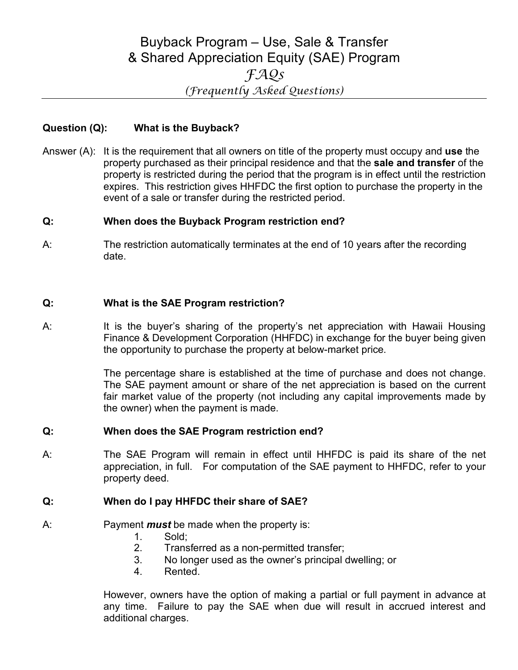# Buyback Program – Use, Sale & Transfer & Shared Appreciation Equity (SAE) Program *FAQs (Frequently Asked Questions)*

## **Question (Q): What is the Buyback?**

Answer (A): It is the requirement that all owners on title of the property must occupy and **use** the property purchased as their principal residence and that the **sale and transfer** of the property is restricted during the period that the program is in effect until the restriction expires. This restriction gives HHFDC the first option to purchase the property in the event of a sale or transfer during the restricted period.

#### **Q: When does the Buyback Program restriction end?**

A: The restriction automatically terminates at the end of 10 years after the recording date.

## **Q: What is the SAE Program restriction?**

A: It is the buyer's sharing of the property's net appreciation with Hawaii Housing Finance & Development Corporation (HHFDC) in exchange for the buyer being given the opportunity to purchase the property at below-market price.

> The percentage share is established at the time of purchase and does not change. The SAE payment amount or share of the net appreciation is based on the current fair market value of the property (not including any capital improvements made by the owner) when the payment is made.

#### **Q: When does the SAE Program restriction end?**

A: The SAE Program will remain in effect until HHFDC is paid its share of the net appreciation, in full. For computation of the SAE payment to HHFDC, refer to your property deed.

#### **Q: When do I pay HHFDC their share of SAE?**

- A: Payment *must* be made when the property is:
	- 1. Sold;
	- 2. Transferred as a non-permitted transfer;
	- 3. No longer used as the owner's principal dwelling; or
	- 4. Rented.

However, owners have the option of making a partial or full payment in advance at any time. Failure to pay the SAE when due will result in accrued interest and additional charges.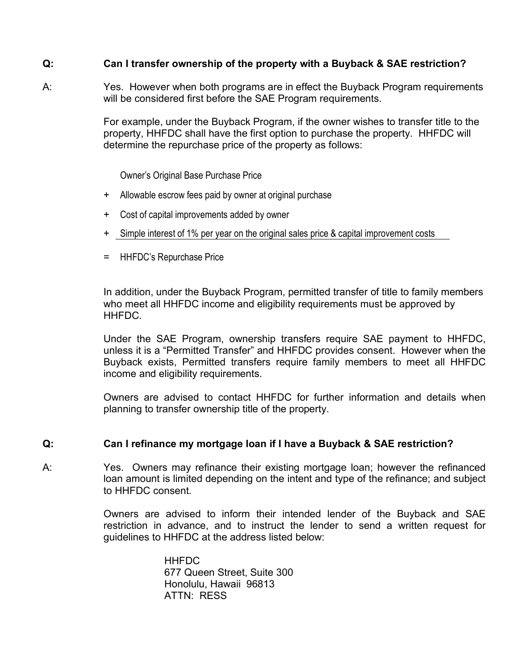## **Q: Can I transfer ownership of the property with a Buyback & SAE restriction?**

A: Yes. However when both programs are in effect the Buyback Program requirements will be considered first before the SAE Program requirements.

> For example, under the Buyback Program, if the owner wishes to transfer title to the property, HHFDC shall have the first option to purchase the property. HHFDC will determine the repurchase price of the property as follows:

Owner's Original Base Purchase Price

- + Allowable escrow fees paid by owner at original purchase
- + Cost of capital improvements added by owner
- + Simple interest of 1% per year on the original sales price & capital improvement costs
- = HHFDC's Repurchase Price

In addition, under the Buyback Program, permitted transfer of title to family members who meet all HHFDC income and eligibility requirements must be approved by HHFDC.

Under the SAE Program, ownership transfers require SAE payment to HHFDC, unless it is a "Permitted Transfer" and HHFDC provides consent. However when the Buyback exists, Permitted transfers require family members to meet all HHFDC income and eligibility requirements.

Owners are advised to contact HHFDC for further information and details when planning to transfer ownership title of the property.

## **Q: Can I refinance my mortgage loan if I have a Buyback & SAE restriction?**

A: Yes. Owners may refinance their existing mortgage loan; however the refinanced loan amount is limited depending on the intent and type of the refinance; and subject to HHFDC consent.

> Owners are advised to inform their intended lender of the Buyback and SAE restriction in advance, and to instruct the lender to send a written request for guidelines to HHFDC at the address listed below:

> > **HHFDC** 677 Queen Street, Suite 300 Honolulu, Hawaii 96813 ATTN: RESS